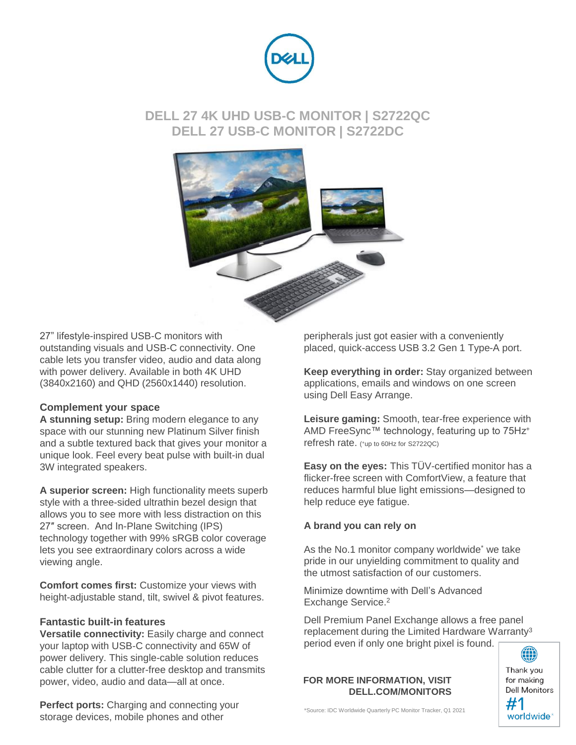

## **DELL 27 4K UHD USB-C MONITOR | S2722QC DELL 27 USB-C MONITOR | S2722DC**



27" lifestyle-inspired USB-C monitors with outstanding visuals and USB-C connectivity. One cable lets you transfer video, audio and data along with power delivery. Available in both 4K UHD (3840x2160) and QHD (2560x1440) resolution.

### **Complement your space**

**A stunning setup:** Bring modern elegance to any space with our stunning new Platinum Silver finish and a subtle textured back that gives your monitor a unique look. Feel every beat pulse with built-in dual 3W integrated speakers.

**A superior screen:** High functionality meets superb style with a three-sided ultrathin bezel design that allows you to see more with less distraction on this 27″ screen. And In-Plane Switching (IPS) technology together with 99% sRGB color coverage lets you see extraordinary colors across a wide viewing angle.

**Comfort comes first:** Customize your views with height-adjustable stand, tilt, swivel & pivot features.

### **Fantastic built-in features**

**Versatile connectivity:** Easily charge and connect your laptop with USB-C connectivity and 65W of power delivery. This single-cable solution reduces cable clutter for a clutter-free desktop and transmits power, video, audio and data—all at once.

**Perfect ports:** Charging and connecting your storage devices, mobile phones and other

peripherals just got easier with a conveniently placed, quick-access USB 3.2 Gen 1 Type-A port.

**Keep everything in order:** Stay organized between applications, emails and windows on one screen using Dell Easy Arrange.

**Leisure gaming:** Smooth, tear-free experience with AMD FreeSync™ technology, featuring up to 75Hz<sup>+</sup> refresh rate. (\*up to 60Hz for S2722QC)

**Easy on the eyes:** This TÜV-certified monitor has a flicker-free screen with ComfortView, a feature that reduces harmful blue light emissions—designed to help reduce eye fatigue.

### **A brand you can rely on**

As the No.1 monitor company worldwide\* we take pride in our unyielding commitment to quality and the utmost satisfaction of our customers.

Minimize downtime with Dell's Advanced Exchange Service.<sup>2</sup>

Dell Premium Panel Exchange allows a free panel replacement during the Limited Hardware Warranty<sup>3</sup> period even if only one bright pixel is found.

#### **FOR MORE INFORMATION, VISIT DELL.COM/MONITORS**

Thank you for making **Dell Monitors** #1 worldwide<sup>\*</sup>

\*Source: IDC Worldwide Quarterly PC Monitor Tracker, Q1 2021